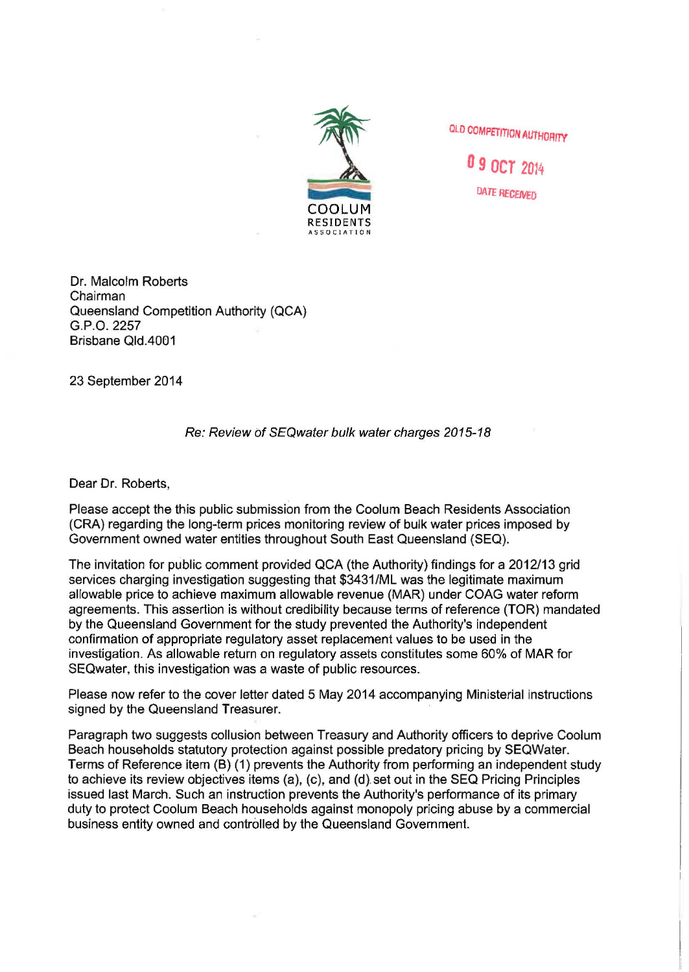

**QLD COMPETITION AUTHORITY** 

**o s ocr** 2D14 DATE RECEIVED

Dr. Malcolm Roberts Chairman Queensland Competition Authority (QCA) G.P.O. 2257 Brisbane Qld.4001

23 September 2014

## Re: Review of SEQ water bulk water charges 2015-18

Dear Dr. Roberts,

Please accept the this public submission from the Coolum Beach Residents Association (CRA) regarding the long-term prices monitoring review of bulk water prices imposed by Government owned water entities throughout South East Queensland (SEQ).

The invitation for public comment provided QCA (the Authority) findings for a 2012/13 grid services charging investigation suggesting that \$3431/ML was the legitimate maximum allowable price to achieve maximum allowable revenue (MAR) under COAG water reform agreements. This assertion is without credibility because terms of reference (TOR) mandated by the Queensland Government for the study prevented the Authority's independent confirmation of appropriate regulatory asset replacement values to be used in the investigation. As allowable return on regulatory assets constitutes some 60% of MAR for SEQwater, this investigation was a waste of public resources.

Please now refer to the cover letter dated 5 May 2014 accompanying Ministerial instructions signed by the Queensland Treasurer.

Paragraph two suggests collusion between Treasury and Authority officers to deprive Coolum Beach households statutory protection against possible predatory pricing by SEQWater. Terms of Reference item (B) (1) prevents the Authority from performing an independent study to achieve its review objectives items (a), (c), and (d). set out in the SEQ Pricing Principles issued last March. Such an instruction prevents the Authority's performance of its primary duty to protect Coolum Beach households against monopoly pricing abuse by a commercial business entity owned and controlled by the Queensland Government.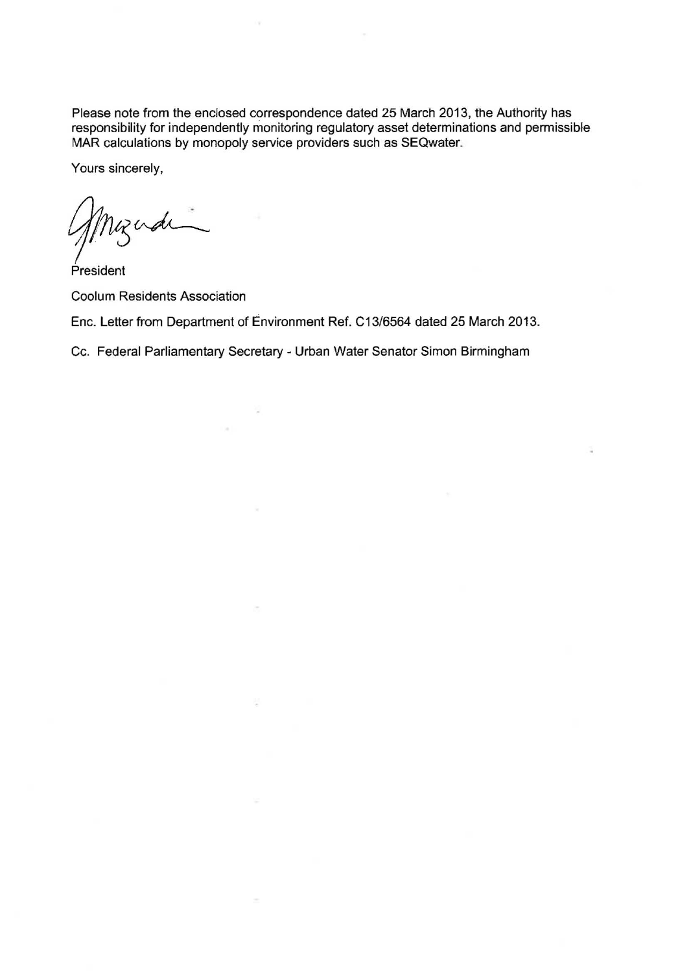Please note from the enclosed correspondence dated 25 March 2013, the Authority has responsibility for independently monitoring regulatory asset determinations and permissible MAR calculations by monopoly service providers such as SEQwater.

Yours sincerely,

Myndia

President Coolum Residents Association

Enc. Letter from Department of Environment Ref. C13/6564 dated 25 March 2013.

Cc. Federal Parliamentary Secretary - Urban Water Senator Simon Birmingham